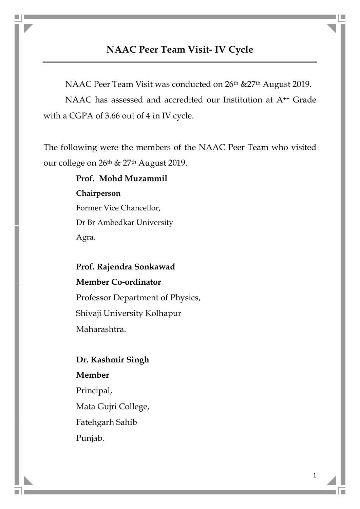# NAAC Peer Team Visit- IV Cycle

NAAC Peer Team Visit was conducted on 26<sup>th</sup> &27<sup>th</sup> August 2019. NAAC has assessed and accredited our Institution at A<sup>++</sup> Grade with a CGPA of 3.66 out of 4 in IV cycle.

The following were the members of the NAAC Peer Team who visited our college on 26<sup>th</sup> & 27<sup>th</sup> August 2019.

> Prof. Mohd Muzammil Chairperson Former Vice Chancellor, Dr Br Ambedkar University Agra.

Prof. Rajendra Sonkawad Member Co-ordinator Professor Department of Physics, Shivaji University Kolhapur Maharashtra.

## Dr. Kashmir Singh

Member Principal, Mata Gujri College, Fatehgarh Sahib Punjab.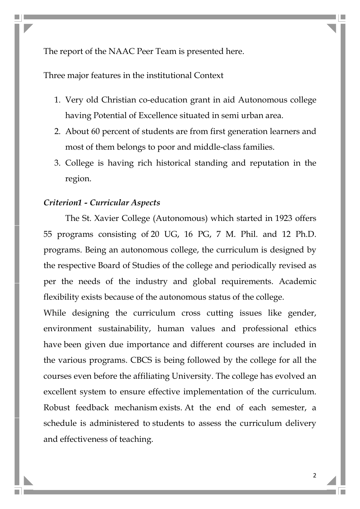The report of the NAAC Peer Team is presented here.

Three major features in the institutional Context

- 1. Very old Christian co-education grant in aid Autonomous college having Potential of Excellence situated in semi urban area.
- 2. About 60 percent of students are from first generation learners and most of them belongs to poor and middle-class families.
- 3. College is having rich historical standing and reputation in the region.

#### Criterion1 - Curricular Aspects

The St. Xavier College (Autonomous) which started in 1923 offers 55 programs consisting of 20 UG, 16 PG, 7 M. Phil. and 12 Ph.D. programs. Being an autonomous college, the curriculum is designed by the respective Board of Studies of the college and periodically revised as per the needs of the industry and global requirements. Academic flexibility exists because of the autonomous status of the college.

While designing the curriculum cross cutting issues like gender, environment sustainability, human values and professional ethics have been given due importance and different courses are included in the various programs. CBCS is being followed by the college for all the courses even before the affiliating University. The college has evolved an excellent system to ensure effective implementation of the curriculum. Robust feedback mechanism exists. At the end of each semester, a schedule is administered to students to assess the curriculum delivery and effectiveness of teaching.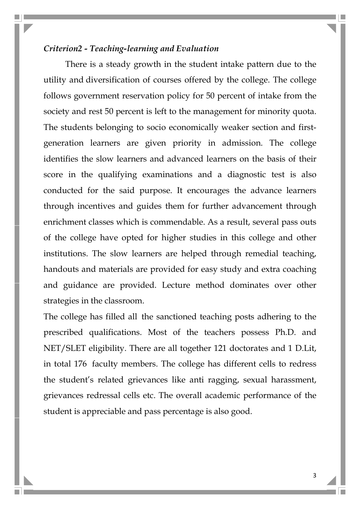#### Criterion2 - Teaching-learning and Evaluation

There is a steady growth in the student intake pattern due to the utility and diversification of courses offered by the college. The college follows government reservation policy for 50 percent of intake from the society and rest 50 percent is left to the management for minority quota. The students belonging to socio economically weaker section and firstgeneration learners are given priority in admission. The college identifies the slow learners and advanced learners on the basis of their score in the qualifying examinations and a diagnostic test is also conducted for the said purpose. It encourages the advance learners through incentives and guides them for further advancement through enrichment classes which is commendable. As a result, several pass outs of the college have opted for higher studies in this college and other institutions. The slow learners are helped through remedial teaching, handouts and materials are provided for easy study and extra coaching and guidance are provided. Lecture method dominates over other strategies in the classroom.

The college has filled all the sanctioned teaching posts adhering to the prescribed qualifications. Most of the teachers possess Ph.D. and NET/SLET eligibility. There are all together 121 doctorates and 1 D.Lit, in total 176 faculty members. The college has different cells to redress the student's related grievances like anti ragging, sexual harassment, grievances redressal cells etc. The overall academic performance of the student is appreciable and pass percentage is also good.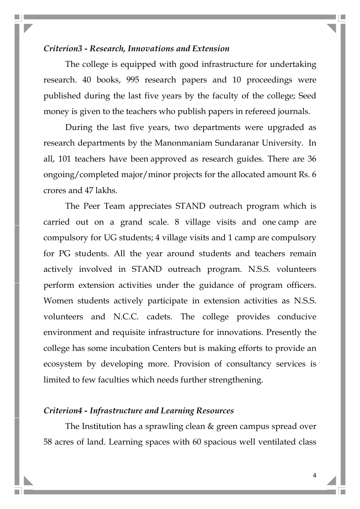#### Criterion3 - Research, Innovations and Extension

The college is equipped with good infrastructure for undertaking research. 40 books, 995 research papers and 10 proceedings were published during the last five years by the faculty of the college; Seed money is given to the teachers who publish papers in refereed journals.

During the last five years, two departments were upgraded as research departments by the Manonmaniam Sundaranar University. In all, 101 teachers have been approved as research guides. There are 36 ongoing/completed major/minor projects for the allocated amount Rs. 6 crores and 47 lakhs.

The Peer Team appreciates STAND outreach program which is carried out on a grand scale. 8 village visits and one camp are compulsory for UG students; 4 village visits and 1 camp are compulsory for PG students. All the year around students and teachers remain actively involved in STAND outreach program. N.S.S. volunteers perform extension activities under the guidance of program officers. Women students actively participate in extension activities as N.S.S. volunteers and N.C.C. cadets. The college provides conducive environment and requisite infrastructure for innovations. Presently the college has some incubation Centers but is making efforts to provide an ecosystem by developing more. Provision of consultancy services is limited to few faculties which needs further strengthening.

### Criterion4 - Infrastructure and Learning Resources

The Institution has a sprawling clean & green campus spread over 58 acres of land. Learning spaces with 60 spacious well ventilated class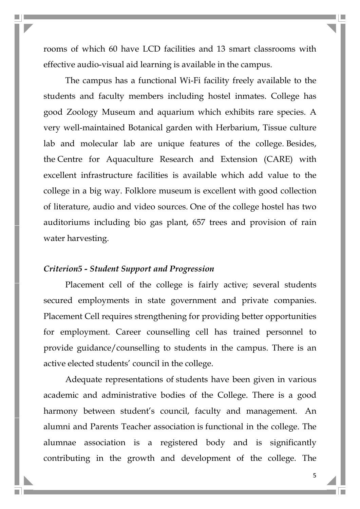rooms of which 60 have LCD facilities and 13 smart classrooms with effective audio-visual aid learning is available in the campus.

The campus has a functional Wi-Fi facility freely available to the students and faculty members including hostel inmates. College has good Zoology Museum and aquarium which exhibits rare species. A very well-maintained Botanical garden with Herbarium, Tissue culture lab and molecular lab are unique features of the college. Besides, the Centre for Aquaculture Research and Extension (CARE) with excellent infrastructure facilities is available which add value to the college in a big way. Folklore museum is excellent with good collection of literature, audio and video sources. One of the college hostel has two auditoriums including bio gas plant, 657 trees and provision of rain water harvesting.

#### Criterion5 - Student Support and Progression

Placement cell of the college is fairly active; several students secured employments in state government and private companies. Placement Cell requires strengthening for providing better opportunities for employment. Career counselling cell has trained personnel to provide guidance/counselling to students in the campus. There is an active elected students' council in the college.

Adequate representations of students have been given in various academic and administrative bodies of the College. There is a good harmony between student's council, faculty and management. An alumni and Parents Teacher association is functional in the college. The alumnae association is a registered body and is significantly contributing in the growth and development of the college. The

5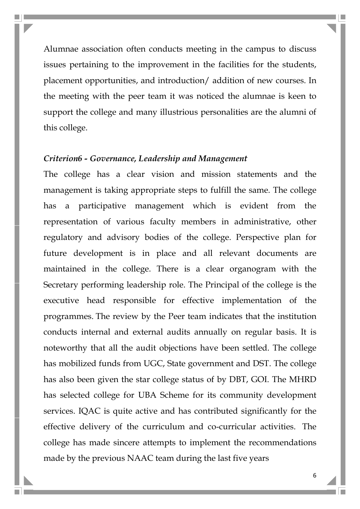Alumnae association often conducts meeting in the campus to discuss issues pertaining to the improvement in the facilities for the students, placement opportunities, and introduction/ addition of new courses. In the meeting with the peer team it was noticed the alumnae is keen to support the college and many illustrious personalities are the alumni of this college.

## Criterion6 - Governance, Leadership and Management

The college has a clear vision and mission statements and the management is taking appropriate steps to fulfill the same. The college has a participative management which is evident from the representation of various faculty members in administrative, other regulatory and advisory bodies of the college. Perspective plan for future development is in place and all relevant documents are maintained in the college. There is a clear organogram with the Secretary performing leadership role. The Principal of the college is the executive head responsible for effective implementation of the programmes. The review by the Peer team indicates that the institution conducts internal and external audits annually on regular basis. It is noteworthy that all the audit objections have been settled. The college has mobilized funds from UGC, State government and DST. The college has also been given the star college status of by DBT, GOI. The MHRD has selected college for UBA Scheme for its community development services. IQAC is quite active and has contributed significantly for the effective delivery of the curriculum and co-curricular activities. The college has made sincere attempts to implement the recommendations made by the previous NAAC team during the last five years

6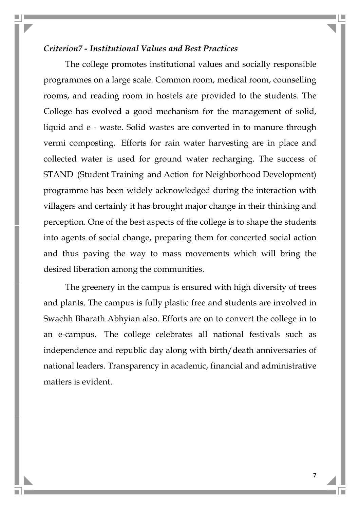#### Criterion7 - Institutional Values and Best Practices

The college promotes institutional values and socially responsible programmes on a large scale. Common room, medical room, counselling rooms, and reading room in hostels are provided to the students. The College has evolved a good mechanism for the management of solid, liquid and e - waste. Solid wastes are converted in to manure through vermi composting. Efforts for rain water harvesting are in place and collected water is used for ground water recharging. The success of STAND (Student Training and Action for Neighborhood Development) programme has been widely acknowledged during the interaction with villagers and certainly it has brought major change in their thinking and perception. One of the best aspects of the college is to shape the students into agents of social change, preparing them for concerted social action and thus paving the way to mass movements which will bring the desired liberation among the communities.

The greenery in the campus is ensured with high diversity of trees and plants. The campus is fully plastic free and students are involved in Swachh Bharath Abhyian also. Efforts are on to convert the college in to an e-campus. The college celebrates all national festivals such as independence and republic day along with birth/death anniversaries of national leaders. Transparency in academic, financial and administrative matters is evident.

7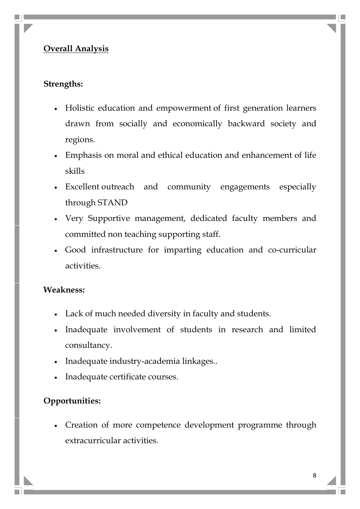# Overall Analysis

### Strengths:

- Holistic education and empowerment of first generation learners drawn from socially and economically backward society and regions.
- Emphasis on moral and ethical education and enhancement of life skills
- Excellent outreach and community engagements especially through STAND
- Very Supportive management, dedicated faculty members and committed non teaching supporting staff.
- Good infrastructure for imparting education and co-curricular activities.

### Weakness:

- Lack of much needed diversity in faculty and students.
- Inadequate involvement of students in research and limited consultancy.
- Inadequate industry-academia linkages..
- Inadequate certificate courses.

### Opportunities:

 Creation of more competence development programme through extracurricular activities.